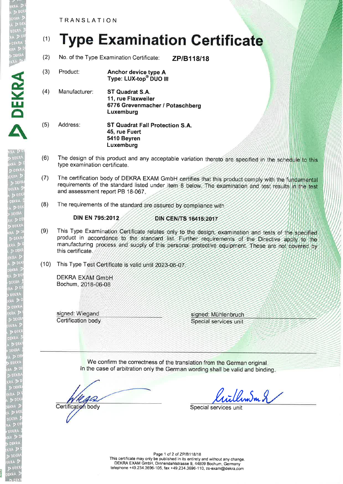TRANSLATION

**ex** 

Ytll o

A

## (1) Type Examination Certificate

(2) No. of the Type Examination Certificate: **ZP/B118/18** 

- (3) Product: **Anchor device type A** Type: LUX-top<sup>®</sup> DUO III
- (4) Manufacturer: ST Quadrat S.A. 11, rue Flaxweiler 6776 Grevenmacher / Potaschberg Luxemburg
- (5) Address: ST Quadrat Fall Protection S.A. 45, rue Fuert 5410 Beyren Luxemburg
- (6) The design of this product and any acceptable variation thereto are specified in the schedule to this type examination certificate.
- (7) The certification body of DEKRA EXAM GmbH certifies that this product comply with the fundamental requirements of the standard listed under item 8 below. The examination and test results in the test and assessment report PB 18-067
- (8) The requirements of the standard are assured by compliance with

## DIN EN 795:2012

## **DIN CEN/TS 16415:2017**

- (9) This Type Examination Certificate relates only to the design, examination and tests of the specified product in accordance to the standard list. Further requirements of the Directive apply to the manufacturing process and supply of this personal protective equipment. These are not covered by this certificate,
- (10) This Type Test Certificate is valid until 2023-06-07

**DEKRA EXAM GmbH** Bochum, 2018-06-08

signed: Wiegand Certification body signed: Mühlenbruch Special services unit

We confirm the correctness of the translation from the German origina In the case of arbitration only the German wording shall be valid and binding

Certification body

iillew.Sm 2

Special services un

Page 1 of 2 of ZP/B118/18 This certificate may only be published in its entirety and without any change. DEKRA EXAM GmbH, Dinnendahlstrasse g, 44809 Bochum, Germany

telephone +49.234.3696-105, fax +49.234.3696-110, zs-exam@dekra.com